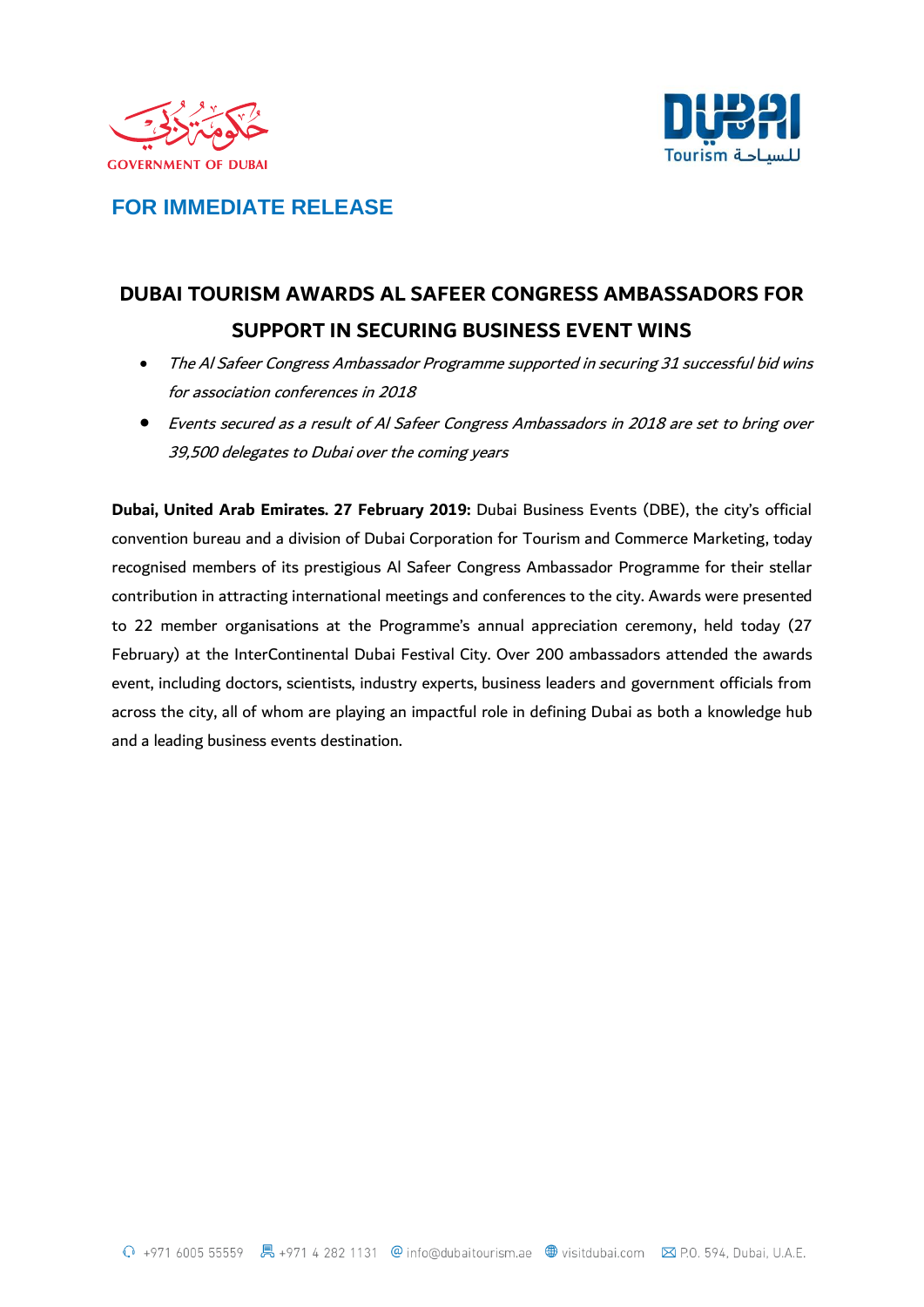



## **FOR IMMEDIATE RELEASE**

# **DUBAI TOURISM AWARDS AL SAFEER CONGRESS AMBASSADORS FOR SUPPORT IN SECURING BUSINESS EVENT WINS**

- The Al Safeer Congress Ambassador Programme supported in securing <sup>31</sup> successful bid wins for association conferences in 2018
- Events secured as a result of Al Safeer Congress Ambassadors in 2018 are set to bring over 39,500 delegates to Dubai over the coming years

**Dubai, United Arab Emirates. 27 February 2019:** Dubai Business Events (DBE), the city's official convention bureau and a division of Dubai Corporation for Tourism and Commerce Marketing, today recognised members of its prestigious Al Safeer Congress Ambassador Programme for their stellar contribution in attracting international meetings and conferences to the city. Awards were presented to 22 member organisations at the Programme's annual appreciation ceremony, held today (27 February) at the InterContinental Dubai Festival City. Over 200 ambassadors attended the awards event, including doctors, scientists, industry experts, business leaders and government officials from across the city, all of whom are playing an impactful role in defining Dubai as both a knowledge hub and a leading business events destination.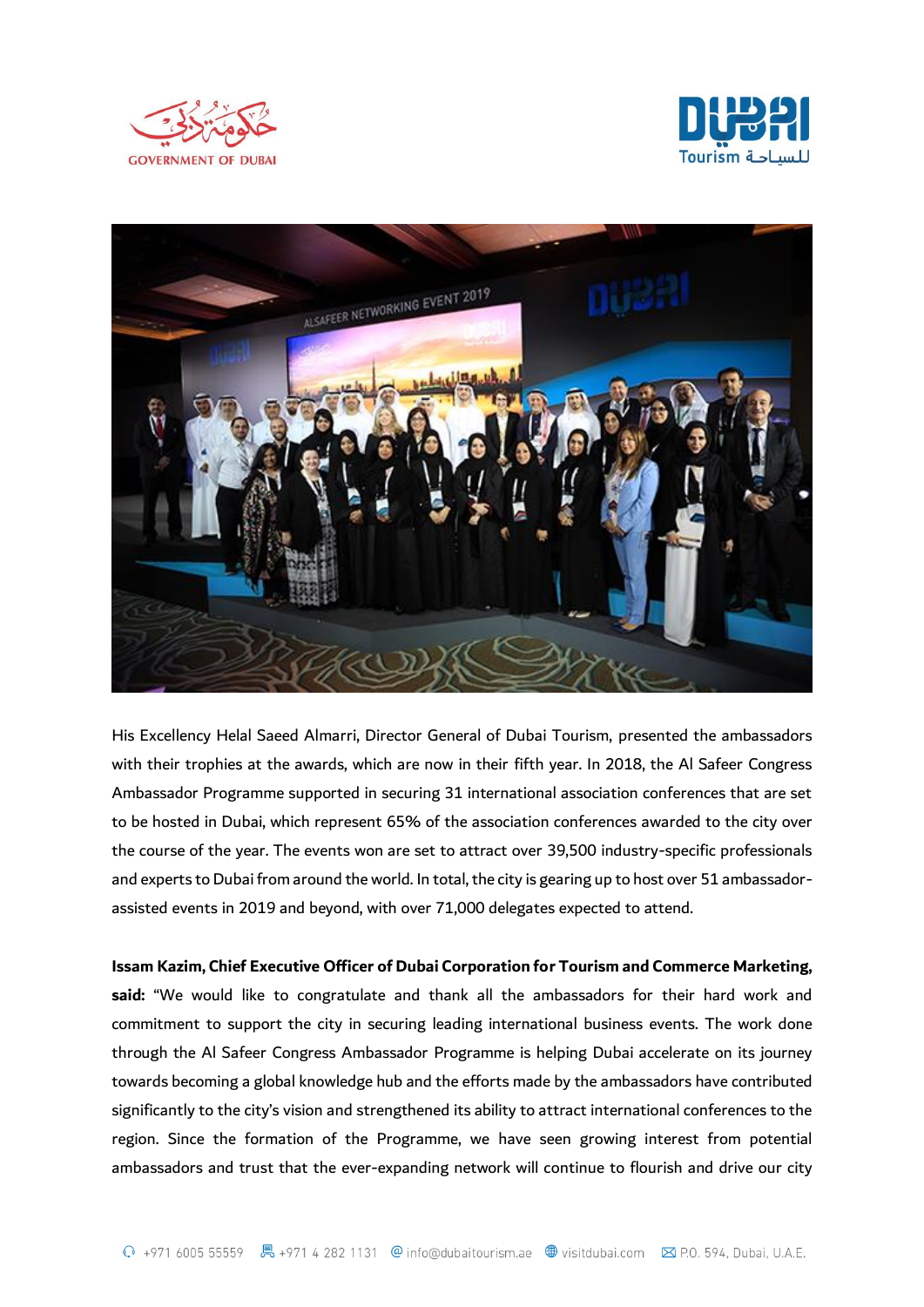





His Excellency Helal Saeed Almarri, Director General of Dubai Tourism, presented the ambassadors with their trophies at the awards, which are now in their fifth year. In 2018, the Al Safeer Congress Ambassador Programme supported in securing 31 international association conferences that are set to be hosted in Dubai, which represent 65% of the association conferences awarded to the city over the course of the year. The events won are set to attract over 39,500 industry-specific professionals and experts to Dubai from around the world. In total, the city is gearing up to host over 51 ambassadorassisted events in 2019 and beyond, with over 71,000 delegates expected to attend.

**Issam Kazim, Chief Executive Officer of Dubai Corporation for Tourism and Commerce Marketing, said:** "We would like to congratulate and thank all the ambassadors for their hard work and commitment to support the city in securing leading international business events. The work done through the Al Safeer Congress Ambassador Programme is helping Dubai accelerate on its journey towards becoming a global knowledge hub and the efforts made by the ambassadors have contributed significantly to the city's vision and strengthened its ability to attract international conferences to the region. Since the formation of the Programme, we have seen growing interest from potential

ambassadors and trust that the ever-expanding network will continue to flourish and drive our city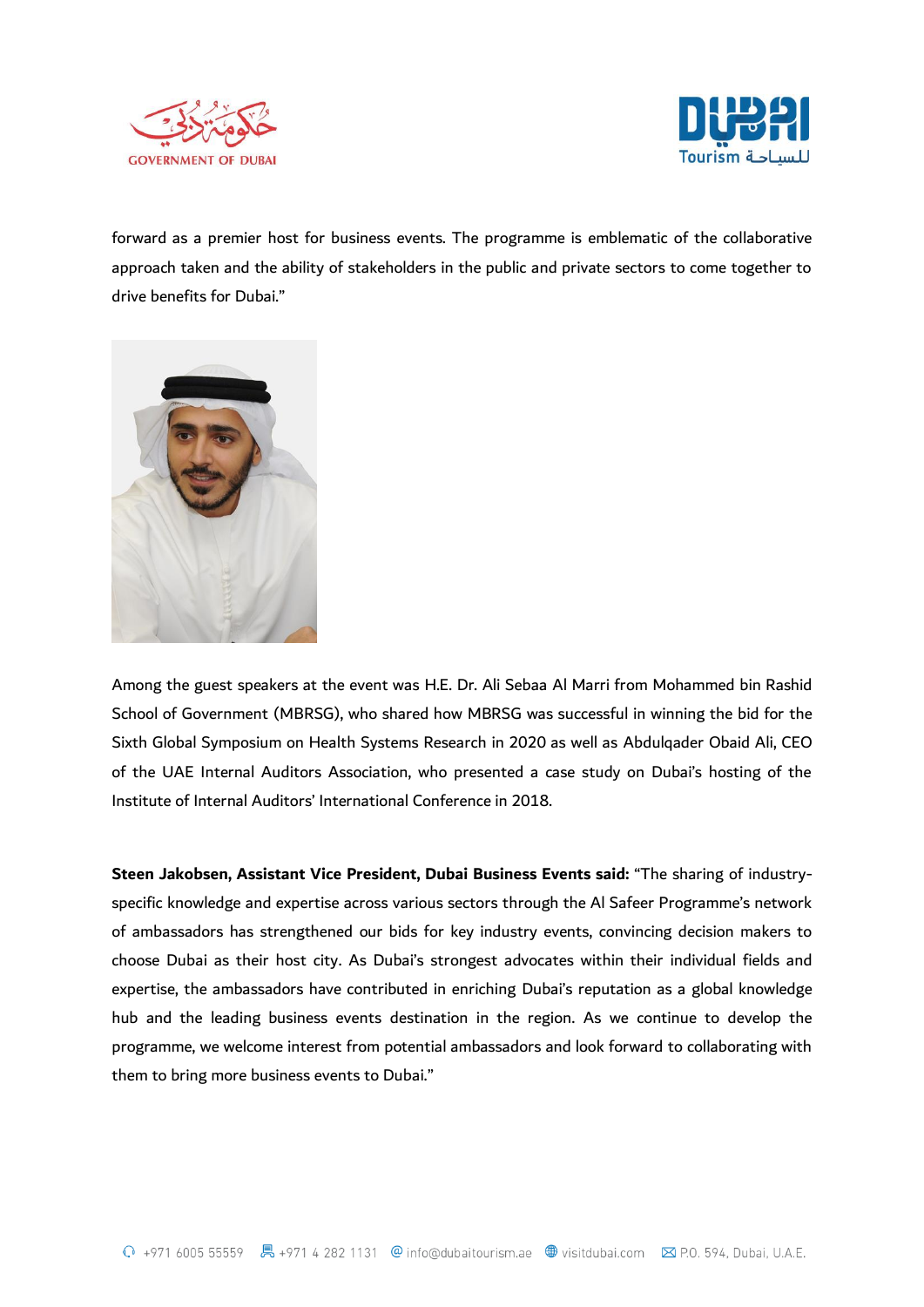



forward as a premier host for business events. The programme is emblematic of the collaborative approach taken and the ability of stakeholders in the public and private sectors to come together to drive benefits for Dubai."



Among the guest speakers at the event was H.E. Dr. Ali Sebaa Al Marri from Mohammed bin Rashid School of Government (MBRSG), who shared how MBRSG was successful in winning the bid for the Sixth Global Symposium on Health Systems Research in 2020 as well as Abdulqader Obaid Ali, CEO of the UAE Internal Auditors Association, who presented a case study on Dubai's hosting of the Institute of Internal Auditors' International Conference in 2018.

**Steen Jakobsen, Assistant Vice President, Dubai Business Events said:** "The sharing of industryspecific knowledge and expertise across various sectors through the Al Safeer Programme's network of ambassadors has strengthened our bids for key industry events, convincing decision makers to choose Dubai as their host city. As Dubai's strongest advocates within their individual fields and expertise, the ambassadors have contributed in enriching Dubai's reputation as a global knowledge hub and the leading business events destination in the region. As we continue to develop the programme, we welcome interest from potential ambassadors and look forward to collaborating with them to bring more business events to Dubai."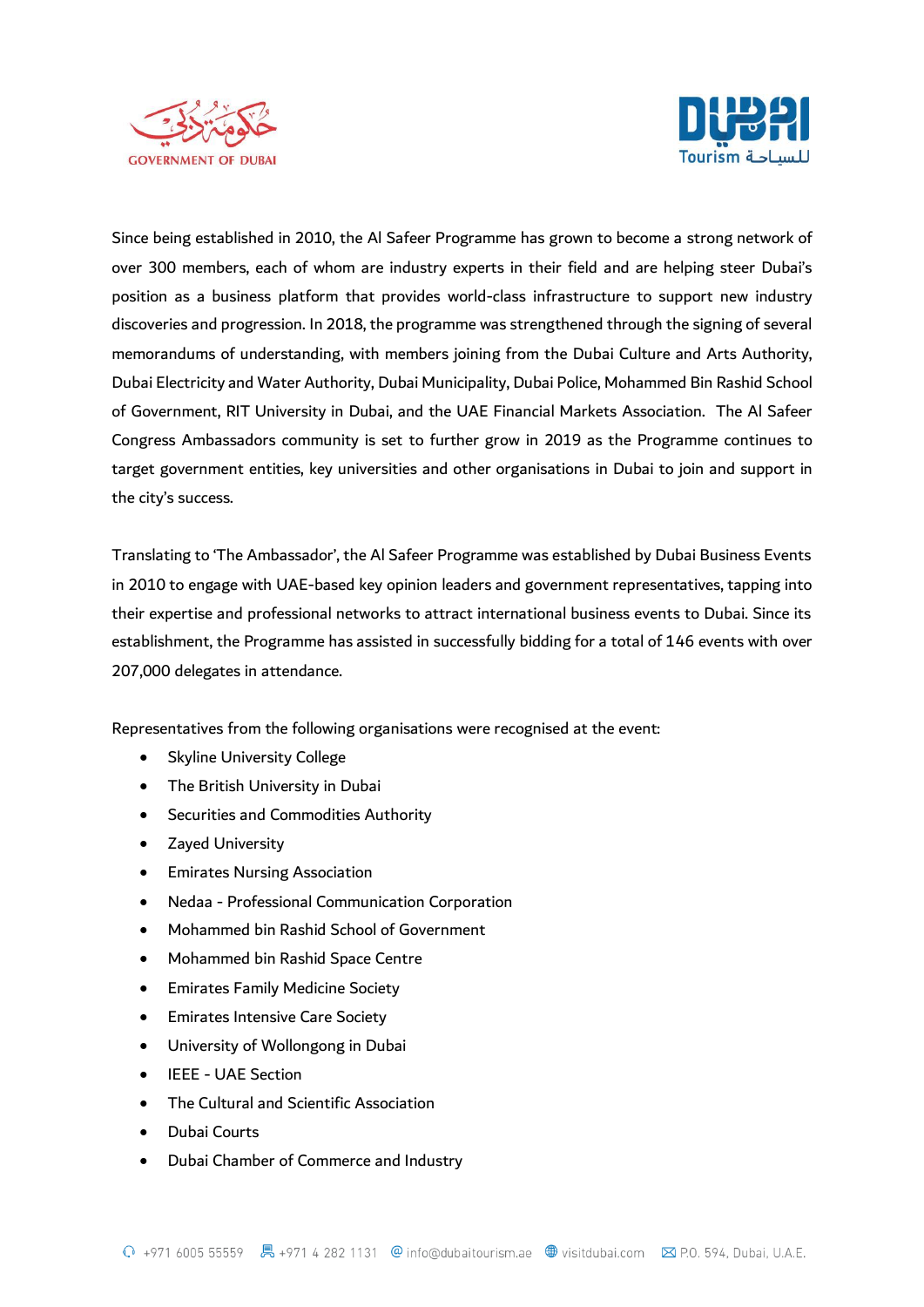



Since being established in 2010, the Al Safeer Programme has grown to become a strong network of over 300 members, each of whom are industry experts in their field and are helping steer Dubai's position as a business platform that provides world-class infrastructure to support new industry discoveries and progression. In 2018, the programme was strengthened through the signing of several memorandums of understanding, with members joining from the Dubai Culture and Arts Authority, Dubai Electricity and Water Authority, Dubai Municipality, Dubai Police, Mohammed Bin Rashid School of Government, RIT University in Dubai, and the UAE Financial Markets Association. The Al Safeer Congress Ambassadors community is set to further grow in 2019 as the Programme continues to target government entities, key universities and other organisations in Dubai to join and support in the city's success.

Translating to 'The Ambassador', the Al Safeer Programme was established by Dubai Business Events in 2010 to engage with UAE-based key opinion leaders and government representatives, tapping into their expertise and professional networks to attract international business events to Dubai. Since its establishment, the Programme has assisted in successfully bidding for a total of 146 events with over 207,000 delegates in attendance.

Representatives from the following organisations were recognised at the event:

- Skyline University College
- The British University in Dubai
- Securities and Commodities Authority
- Zayed University
- Emirates Nursing Association
- Nedaa Professional Communication Corporation
- Mohammed bin Rashid School of Government
- Mohammed bin Rashid Space Centre
- Emirates Family Medicine Society
- Emirates Intensive Care Society
- University of Wollongong in Dubai
- IEEE UAE Section
- The Cultural and Scientific Association
- Dubai Courts
- Dubai Chamber of Commerce and Industry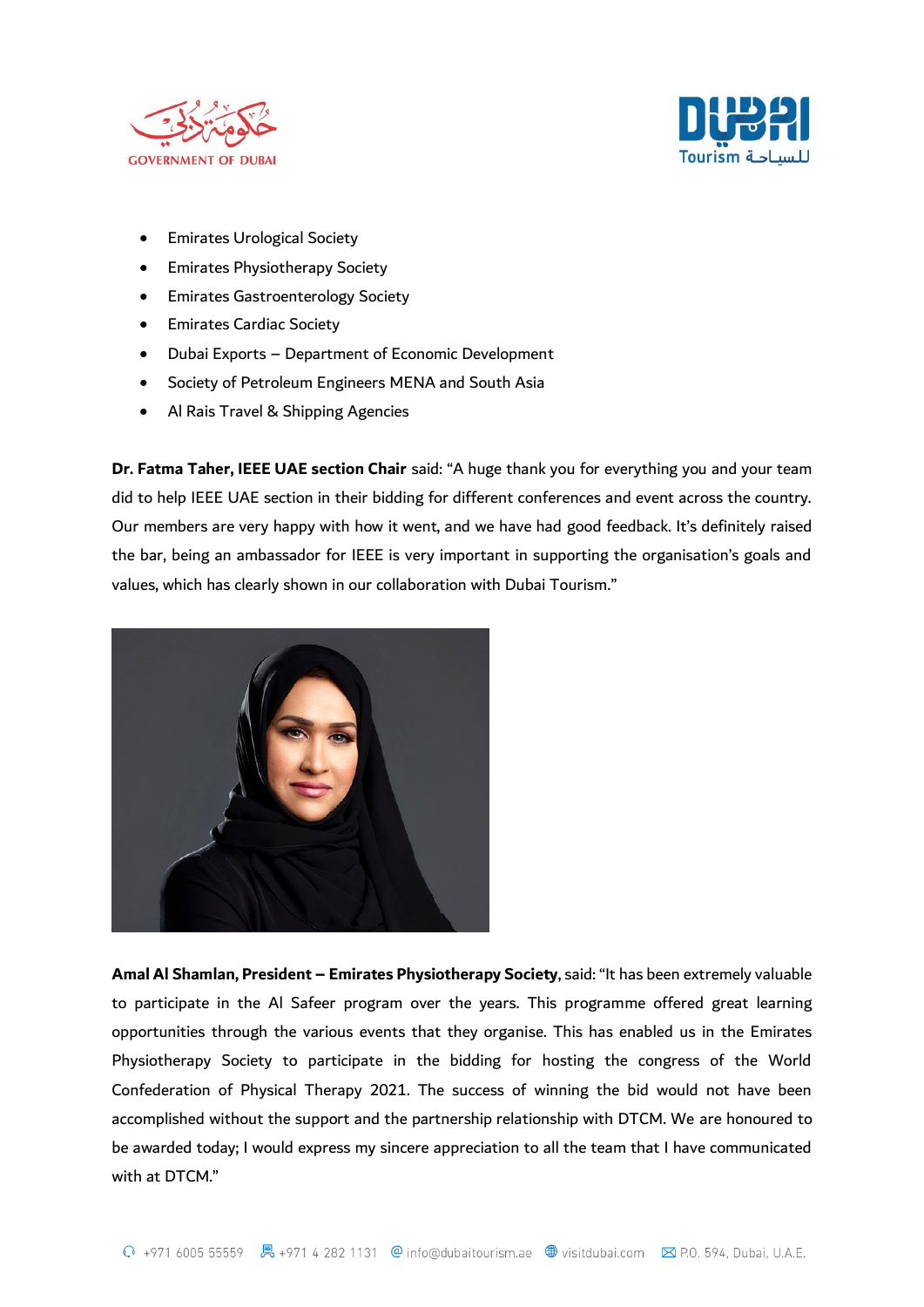



- Emirates Urological Society
- Emirates Physiotherapy Society
- Emirates Gastroenterology Society
- **•** Emirates Cardiac Society
- Dubai Exports Department of Economic Development
- Society of Petroleum Engineers MENA and South Asia
- Al Rais Travel & Shipping Agencies

**Dr. Fatma Taher, IEEE UAE section Chair** said: "A huge thank you for everything you and your team did to help IEEE UAE section in their bidding for different conferences and event across the country. Our members are very happy with how it went, and we have had good feedback. It's definitely raised the bar, being an ambassador for IEEE is very important in supporting the organisation's goals and values, which has clearly shown in our collaboration with Dubai Tourism."



**Amal Al Shamlan, President – Emirates Physiotherapy Society**, said: "It has been extremely valuable to participate in the Al Safeer program over the years. This programme offered great learning opportunities through the various events that they organise. This has enabled us in the Emirates Physiotherapy Society to participate in the bidding for hosting the congress of the World Confederation of Physical Therapy 2021. The success of winning the bid would not have been accomplished without the support and the partnership relationship with DTCM. We are honoured to be awarded today; I would express my sincere appreciation to all the team that I have communicated with at DTCM."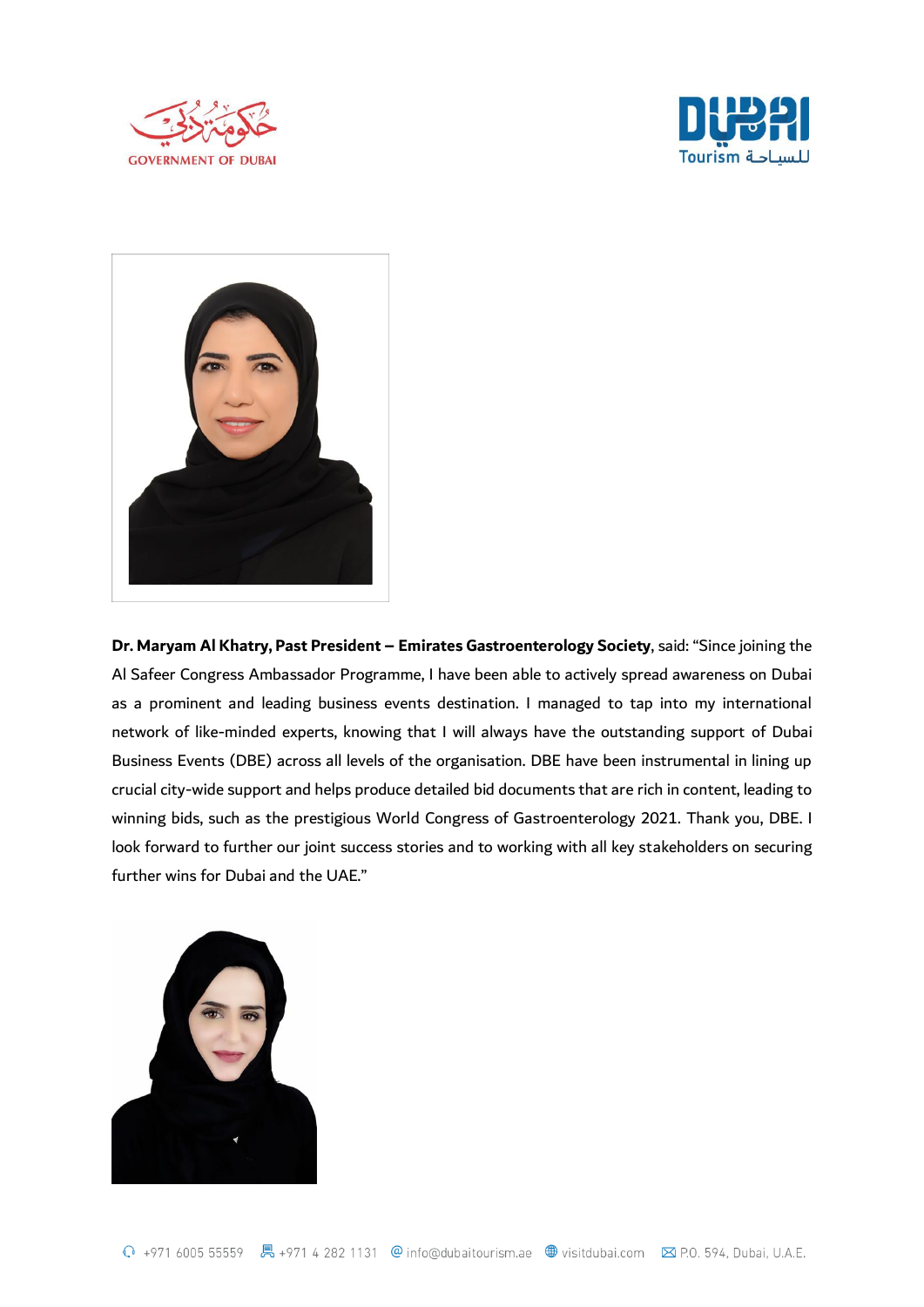





**Dr. Maryam Al Khatry, Past President – Emirates Gastroenterology Society**, said: "Since joining the Al Safeer Congress Ambassador Programme, I have been able to actively spread awareness on Dubai as a prominent and leading business events destination. I managed to tap into my international network of like-minded experts, knowing that I will always have the outstanding support of Dubai Business Events (DBE) across all levels of the organisation. DBE have been instrumental in lining up crucial city-wide support and helps produce detailed bid documents that are rich in content, leading to winning bids, such as the prestigious World Congress of Gastroenterology 2021. Thank you, DBE. I look forward to further our joint success stories and to working with all key stakeholders on securing further wins for Dubai and the UAE."